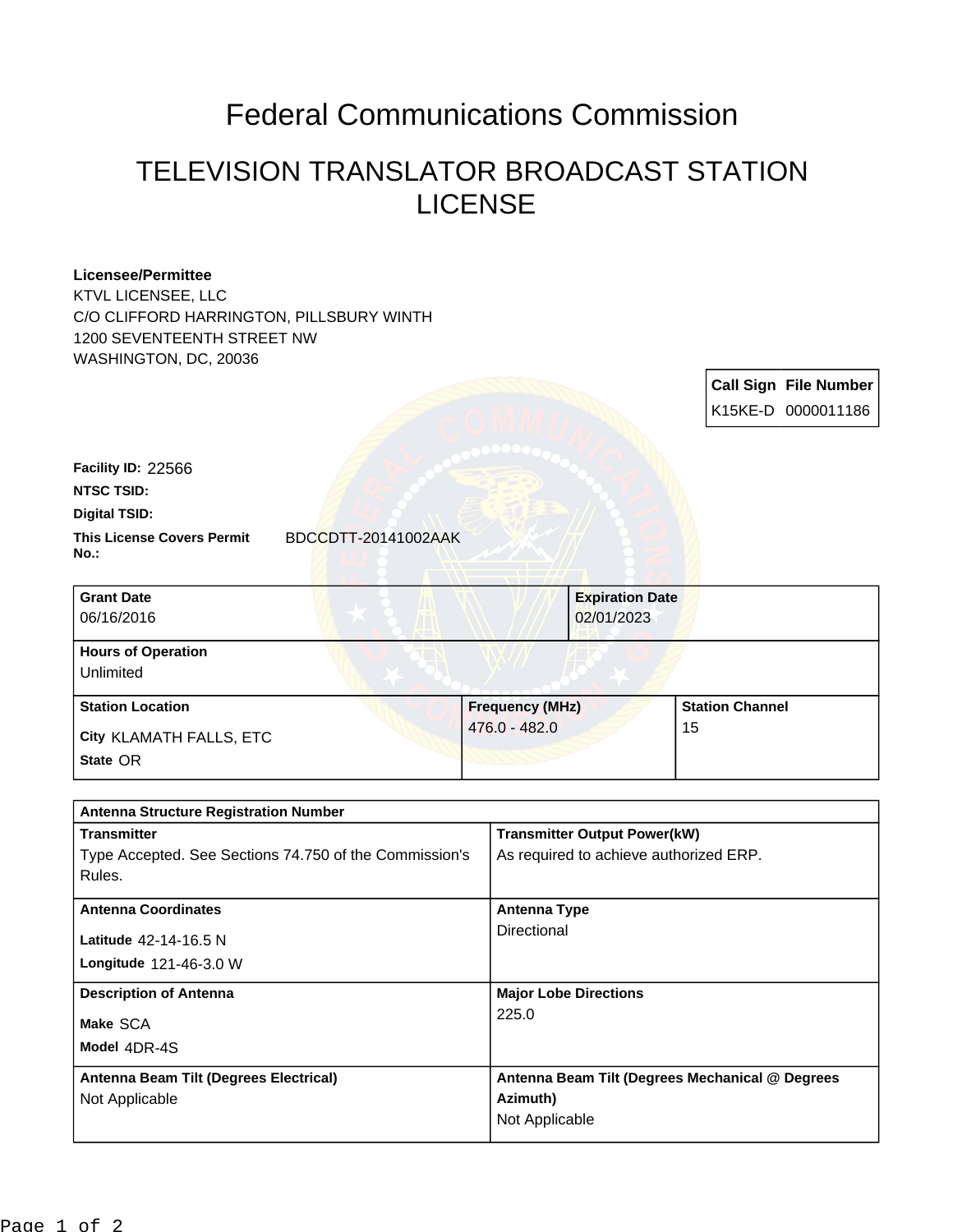## Federal Communications Commission

## TELEVISION TRANSLATOR BROADCAST STATION LICENSE

| <b>Licensee/Permittee</b><br>KTVL LICENSEE, LLC<br>C/O CLIFFORD HARRINGTON, PILLSBURY WINTH<br>1200 SEVENTEENTH STREET NW<br>WASHINGTON, DC, 20036 |                        |                                     |                        |                              |
|----------------------------------------------------------------------------------------------------------------------------------------------------|------------------------|-------------------------------------|------------------------|------------------------------|
|                                                                                                                                                    |                        |                                     |                        | <b>Call Sign File Number</b> |
|                                                                                                                                                    |                        |                                     |                        | K15KE-D 0000011186           |
|                                                                                                                                                    |                        |                                     |                        |                              |
| Facility ID: 22566                                                                                                                                 |                        |                                     |                        |                              |
| <b>NTSC TSID:</b>                                                                                                                                  |                        |                                     |                        |                              |
| <b>Digital TSID:</b>                                                                                                                               |                        |                                     |                        |                              |
| <b>This License Covers Permit</b><br>$No.$ :                                                                                                       | BDCCDTT-20141002AAK    |                                     |                        |                              |
| <b>Grant Date</b>                                                                                                                                  |                        | <b>Expiration Date</b>              |                        |                              |
| 06/16/2016                                                                                                                                         |                        | 02/01/2023                          |                        |                              |
| <b>Hours of Operation</b><br>Unlimited                                                                                                             |                        |                                     |                        |                              |
| <b>Station Location</b>                                                                                                                            | <b>Frequency (MHz)</b> |                                     | <b>Station Channel</b> |                              |
| City KLAMATH FALLS, ETC                                                                                                                            | 476.0 - 482.0          |                                     | 15                     |                              |
| State OR                                                                                                                                           |                        |                                     |                        |                              |
| <b>Antenna Structure Registration Number</b>                                                                                                       |                        |                                     |                        |                              |
| <b>Transmitter</b>                                                                                                                                 |                        | <b>Transmitter Output Power(kW)</b> |                        |                              |

| <b>Transmitter</b><br>Type Accepted. See Sections 74.750 of the Commission's<br>Rules. | <b>Transmitter Output Power(kW)</b><br>As required to achieve authorized ERP. |  |  |  |
|----------------------------------------------------------------------------------------|-------------------------------------------------------------------------------|--|--|--|
| <b>Antenna Coordinates</b>                                                             | Antenna Type                                                                  |  |  |  |
| Latitude 42-14-16.5 N<br>Longitude 121-46-3.0 W                                        | Directional                                                                   |  |  |  |
| <b>Description of Antenna</b>                                                          | <b>Major Lobe Directions</b>                                                  |  |  |  |
| Make SCA<br>Model 4DR-4S                                                               | 225.0                                                                         |  |  |  |
| Antenna Beam Tilt (Degrees Electrical)                                                 | Antenna Beam Tilt (Degrees Mechanical @ Degrees                               |  |  |  |
| Not Applicable                                                                         | Azimuth)                                                                      |  |  |  |
|                                                                                        | Not Applicable                                                                |  |  |  |